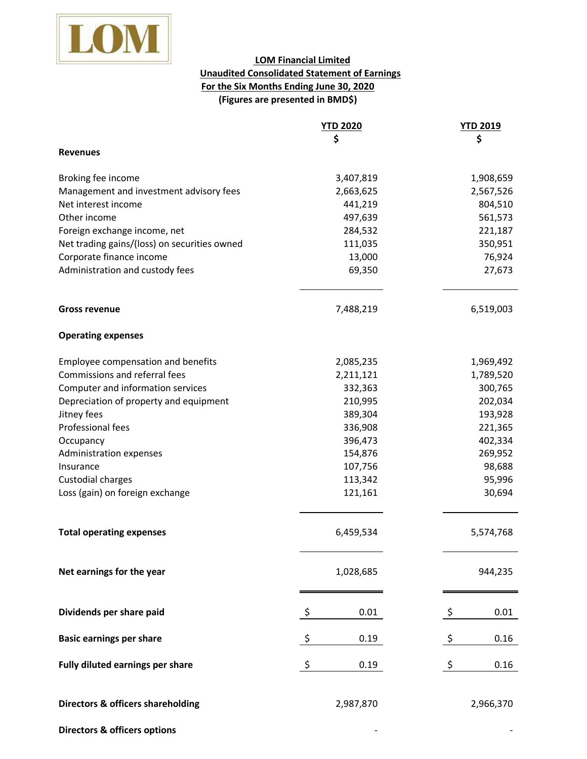

## **For the Six Months Ending June 30, 2020 (Figures are presented in BMD\$) LOM Financial Limited Unaudited Consolidated Statement of Earnings**

|                                              | <b>YTD 2020</b> | <b>YTD 2019</b> |
|----------------------------------------------|-----------------|-----------------|
|                                              | \$              | \$              |
| <b>Revenues</b>                              |                 |                 |
| Broking fee income                           | 3,407,819       | 1,908,659       |
| Management and investment advisory fees      | 2,663,625       | 2,567,526       |
| Net interest income                          | 441,219         | 804,510         |
| Other income                                 | 497,639         | 561,573         |
| Foreign exchange income, net                 | 284,532         | 221,187         |
| Net trading gains/(loss) on securities owned | 111,035         | 350,951         |
| Corporate finance income                     | 13,000          | 76,924          |
| Administration and custody fees              | 69,350          | 27,673          |
| <b>Gross revenue</b>                         | 7,488,219       | 6,519,003       |
| <b>Operating expenses</b>                    |                 |                 |
| Employee compensation and benefits           | 2,085,235       | 1,969,492       |
| Commissions and referral fees                | 2,211,121       | 1,789,520       |
| Computer and information services            | 332,363         | 300,765         |
| Depreciation of property and equipment       | 210,995         | 202,034         |
| Jitney fees                                  | 389,304         | 193,928         |
| Professional fees                            | 336,908         | 221,365         |
| Occupancy                                    | 396,473         | 402,334         |
| Administration expenses                      | 154,876         | 269,952         |
| Insurance                                    | 107,756         | 98,688          |
| Custodial charges                            | 113,342         | 95,996          |
| Loss (gain) on foreign exchange              | 121,161         | 30,694          |
| <b>Total operating expenses</b>              | 6,459,534       | 5,574,768       |
| Net earnings for the year                    | 1,028,685       | 944,235         |
| Dividends per share paid                     | \$<br>0.01      | \$<br>0.01      |
| <b>Basic earnings per share</b>              | \$<br>0.19      | \$<br>0.16      |
| Fully diluted earnings per share             | \$<br>0.19      | \$<br>0.16      |
|                                              |                 |                 |
| <b>Directors &amp; officers shareholding</b> | 2,987,870       | 2,966,370       |
| <b>Directors &amp; officers options</b>      |                 |                 |